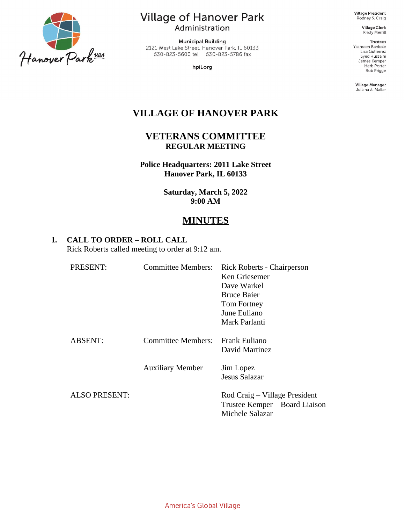

**Village of Hanover Park** Administration

**Municipal Building** 2121 West Lake Street, Hanover Park, IL 60133 630-823-5600 tel 630-823-5786 fax

hpil.org

**Village President** Rodney S. Craig

> Village Clerk Kristy Merrill

**Trustees** Yasmeen Bankole Liza Gutierrez Syed Hussaini James Kemper Herb Porter Bob Prigge

Village Manager Juliana A. Maller

# **VILLAGE OF HANOVER PARK**

**VETERANS COMMITTEE REGULAR MEETING**

**Police Headquarters: 2011 Lake Street Hanover Park, IL 60133**

> **Saturday, March 5, 2022 9:00 AM**

## **MINUTES**

### **1. CALL TO ORDER – ROLL CALL**

Rick Roberts called meeting to order at 9:12 am.

| PRESENT:             | <b>Committee Members:</b> | Rick Roberts - Chairperson<br>Ken Griesemer<br>Dave Warkel<br><b>Bruce Baier</b><br>Tom Fortney<br>June Euliano<br>Mark Parlanti |
|----------------------|---------------------------|----------------------------------------------------------------------------------------------------------------------------------|
| <b>ABSENT:</b>       | Committee Members:        | <b>Frank Euliano</b><br>David Martinez                                                                                           |
|                      | <b>Auxiliary Member</b>   | Jim Lopez<br>Jesus Salazar                                                                                                       |
| <b>ALSO PRESENT:</b> |                           | Rod Craig – Village President<br>Trustee Kemper – Board Liaison<br>Michele Salazar                                               |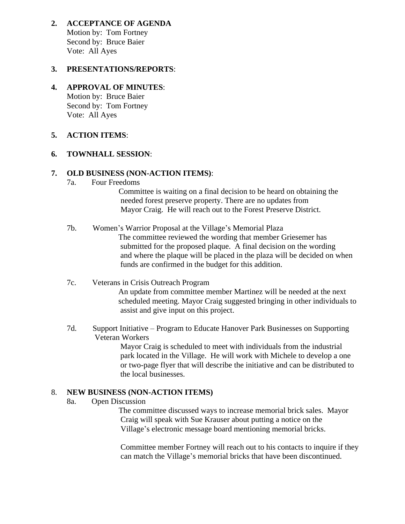**2. ACCEPTANCE OF AGENDA** Motion by: Tom Fortney Second by: Bruce Baier Vote: All Ayes

### **3. PRESENTATIONS/REPORTS**:

#### **4. APPROVAL OF MINUTES**:

Motion by: Bruce Baier Second by: Tom Fortney Vote: All Ayes

### **5. ACTION ITEMS**:

#### **6. TOWNHALL SESSION**:

#### **7. OLD BUSINESS (NON-ACTION ITEMS)**:

7a. Four Freedoms

 Committee is waiting on a final decision to be heard on obtaining the needed forest preserve property. There are no updates from Mayor Craig. He will reach out to the Forest Preserve District.

- 7b. Women's Warrior Proposal at the Village's Memorial Plaza The committee reviewed the wording that member Griesemer has submitted for the proposed plaque. A final decision on the wording and where the plaque will be placed in the plaza will be decided on when funds are confirmed in the budget for this addition.
- 7c. Veterans in Crisis Outreach Program An update from committee member Martinez will be needed at the next scheduled meeting. Mayor Craig suggested bringing in other individuals to assist and give input on this project.
- 7d. Support Initiative Program to Educate Hanover Park Businesses on Supporting Veteran Workers

 Mayor Craig is scheduled to meet with individuals from the industrial park located in the Village. He will work with Michele to develop a one or two-page flyer that will describe the initiative and can be distributed to the local businesses.

#### 8. **NEW BUSINESS (NON-ACTION ITEMS)**

8a. Open Discussion

 The committee discussed ways to increase memorial brick sales. Mayor Craig will speak with Sue Krauser about putting a notice on the Village's electronic message board mentioning memorial bricks.

 Committee member Fortney will reach out to his contacts to inquire if they can match the Village's memorial bricks that have been discontinued.